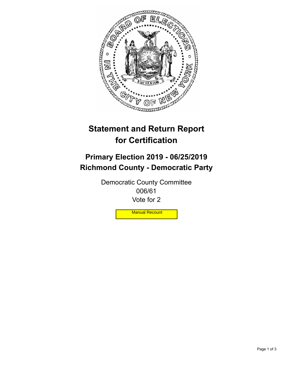

## **Statement and Return Report for Certification**

## **Primary Election 2019 - 06/25/2019 Richmond County - Democratic Party**

Democratic County Committee 006/61 Vote for 2

**Manual Recount**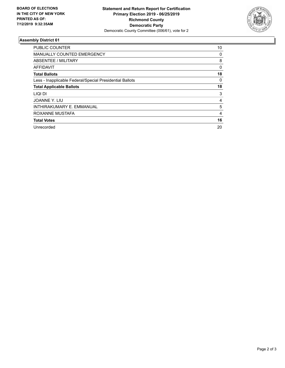

## **Assembly District 61**

| <b>PUBLIC COUNTER</b>                                    | 10 |
|----------------------------------------------------------|----|
| <b>MANUALLY COUNTED EMERGENCY</b>                        | 0  |
| ABSENTEE / MILITARY                                      | 8  |
| AFFIDAVIT                                                | 0  |
| <b>Total Ballots</b>                                     | 18 |
| Less - Inapplicable Federal/Special Presidential Ballots | 0  |
| <b>Total Applicable Ballots</b>                          | 18 |
| LIQI DI                                                  | 3  |
| JOANNE Y. LIU                                            | 4  |
| INTHIRAKUMARY E. EMMANUAL                                | 5  |
| ROXANNE MUSTAFA                                          | 4  |
| <b>Total Votes</b>                                       | 16 |
| Unrecorded                                               | 20 |